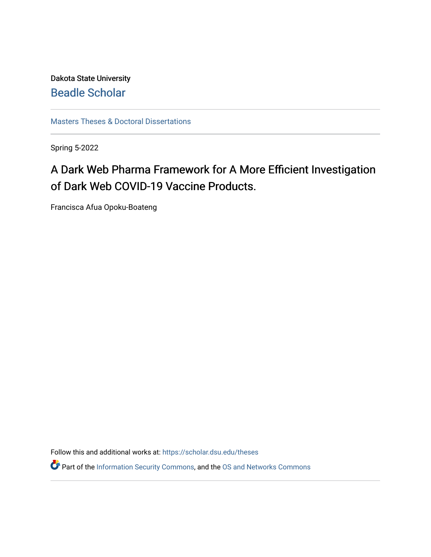Dakota State University [Beadle Scholar](https://scholar.dsu.edu/)

[Masters Theses & Doctoral Dissertations](https://scholar.dsu.edu/theses)

Spring 5-2022

# A Dark Web Pharma Framework for A More Efficient Investigation of Dark Web COVID-19 Vaccine Products.

Francisca Afua Opoku-Boateng

Follow this and additional works at: [https://scholar.dsu.edu/theses](https://scholar.dsu.edu/theses?utm_source=scholar.dsu.edu%2Ftheses%2F373&utm_medium=PDF&utm_campaign=PDFCoverPages)

Part of the [Information Security Commons](http://network.bepress.com/hgg/discipline/1247?utm_source=scholar.dsu.edu%2Ftheses%2F373&utm_medium=PDF&utm_campaign=PDFCoverPages), and the OS and Networks Commons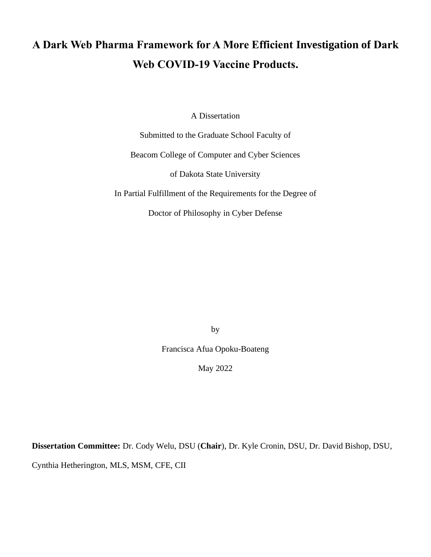# **A Dark Web Pharma Framework for A More Efficient Investigation of Dark Web COVID-19 Vaccine Products.**

A Dissertation

Submitted to the Graduate School Faculty of

Beacom College of Computer and Cyber Sciences

of Dakota State University

In Partial Fulfillment of the Requirements for the Degree of

Doctor of Philosophy in Cyber Defense

by

Francisca Afua Opoku-Boateng

May 2022

**Dissertation Committee:** Dr. Cody Welu, DSU (**Chair**), Dr. Kyle Cronin, DSU, Dr. David Bishop, DSU,

Cynthia Hetherington, MLS, MSM, CFE, CII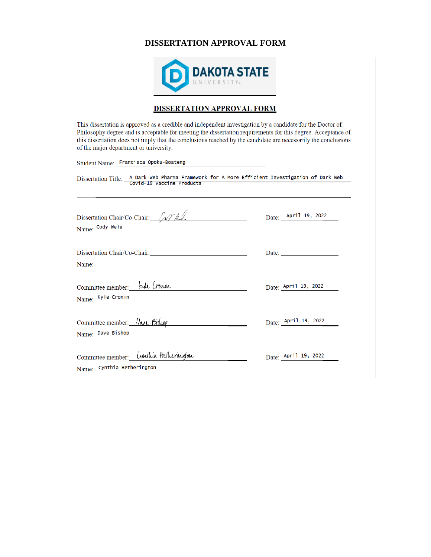### **DISSERTATION APPROVAL FORM**



#### **DISSERTATION APPROVAL FORM**

This dissertation is approved as a credible and independent investigation by a candidate for the Doctor of Philosophy degree and is acceptable for meeting the dissertation requirements for this degree. Acceptance of this dissertation does not imply that the conclusions reached by the candidate are necessarily the conclusions of the major department or university.

Student Name: Francisca Opoku-Boateng

Dissertation Title: A Dark Web Pharma Framework for A More Efficient Investigation of Dark Web<br>covid-19 vaccine Products

| Dissertation Chair/Co-Chair: [M/h]<br>Name: Cody Welu                       | Date: April 19, 2022                                     |
|-----------------------------------------------------------------------------|----------------------------------------------------------|
| Dissertation Chair/Co-Chair:<br>Name:                                       | Date: $\frac{1}{\sqrt{1-\frac{1}{2}} \cdot \frac{1}{2}}$ |
| Committee member: Eyle Crowin<br>Name: Kyle Cronin                          | Date: April 19, 2022                                     |
| Committee member: Vave Bishop<br>Name: Dave Bishop                          | Date: <u>April 19</u> , 2022                             |
| Committee member: <i>Lynthia Hitherington</i><br>Name: Cynthia Hetherington | Date: April 19, 2022                                     |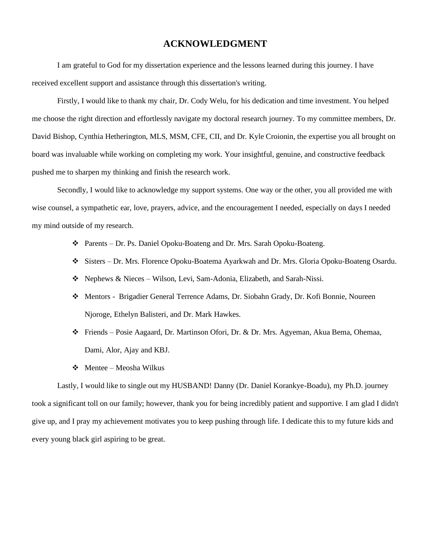## **ACKNOWLEDGMENT**

I am grateful to God for my dissertation experience and the lessons learned during this journey. I have received excellent support and assistance through this dissertation's writing.

Firstly, I would like to thank my chair, Dr. Cody Welu, for his dedication and time investment. You helped me choose the right direction and effortlessly navigate my doctoral research journey. To my committee members, Dr. David Bishop, Cynthia Hetherington, MLS, MSM, CFE, CII, and Dr. Kyle Croionin, the expertise you all brought on board was invaluable while working on completing my work. Your insightful, genuine, and constructive feedback pushed me to sharpen my thinking and finish the research work.

Secondly, I would like to acknowledge my support systems. One way or the other, you all provided me with wise counsel, a sympathetic ear, love, prayers, advice, and the encouragement I needed, especially on days I needed my mind outside of my research.

- ❖ Parents Dr. Ps. Daniel Opoku-Boateng and Dr. Mrs. Sarah Opoku-Boateng.
- ❖ Sisters Dr. Mrs. Florence Opoku-Boatema Ayarkwah and Dr. Mrs. Gloria Opoku-Boateng Osardu.
- ❖ Nephews & Nieces Wilson, Levi, Sam-Adonia, Elizabeth, and Sarah-Nissi.
- ❖ Mentors Brigadier General Terrence Adams, Dr. Siobahn Grady, Dr. Kofi Bonnie, Noureen Njoroge, Ethelyn Balisteri, and Dr. Mark Hawkes.
- ❖ Friends Posie Aagaard, Dr. Martinson Ofori, Dr. & Dr. Mrs. Agyeman, Akua Bema, Ohemaa, Dami, Alor, Ajay and KBJ.
- ❖ Mentee Meosha Wilkus

Lastly, I would like to single out my HUSBAND! Danny (Dr. Daniel Korankye-Boadu), my Ph.D. journey took a significant toll on our family; however, thank you for being incredibly patient and supportive. I am glad I didn't give up, and I pray my achievement motivates you to keep pushing through life. I dedicate this to my future kids and every young black girl aspiring to be great.